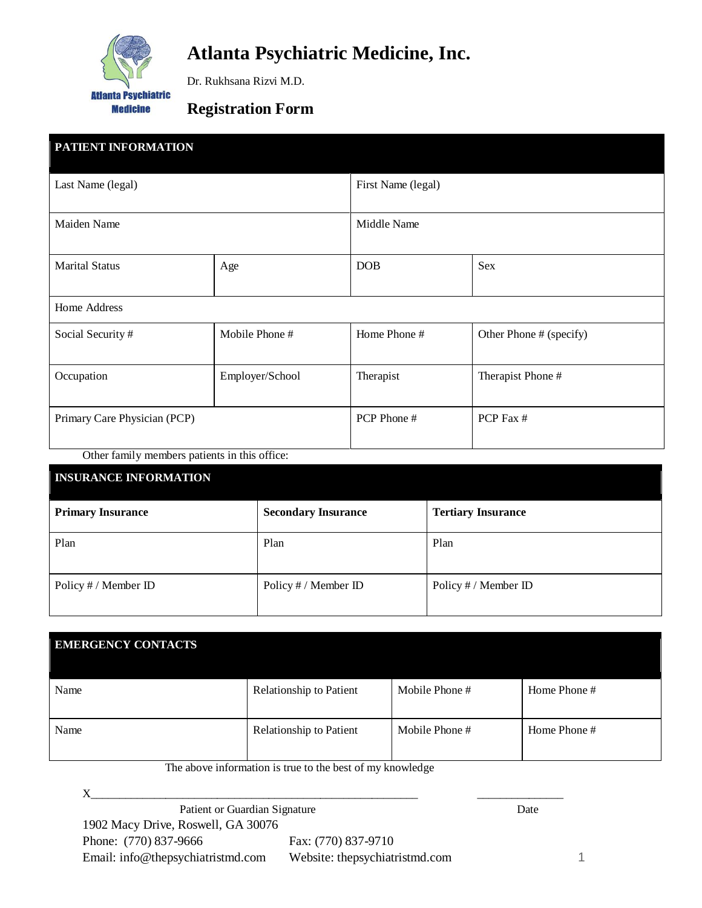

# **Atlanta Psychiatric Medicine, Inc.**

Dr. Rukhsana Rizvi M.D.

### **Registration Form**

| <b>PATIENT INFORMATION</b>   |                 |                    |                         |
|------------------------------|-----------------|--------------------|-------------------------|
| Last Name (legal)            |                 | First Name (legal) |                         |
| Maiden Name                  |                 | Middle Name        |                         |
| <b>Marital Status</b>        | Age             | <b>DOB</b>         | Sex                     |
| Home Address                 |                 |                    |                         |
| Social Security #            | Mobile Phone #  | Home Phone #       | Other Phone # (specify) |
| Occupation                   | Employer/School | Therapist          | Therapist Phone #       |
| Primary Care Physician (PCP) |                 | PCP Phone #        | PCP Fax #               |

Other family members patients in this office:

| <b>INSURANCE INFORMATION</b> |                            |                           |  |
|------------------------------|----------------------------|---------------------------|--|
| <b>Primary Insurance</b>     | <b>Secondary Insurance</b> | <b>Tertiary Insurance</b> |  |
| Plan                         | Plan                       | Plan                      |  |
| Policy # / Member ID         | Policy # / Member ID       | Policy # / Member ID      |  |

| <b>EMERGENCY CONTACTS</b> |                         |                |              |
|---------------------------|-------------------------|----------------|--------------|
| Name                      | Relationship to Patient | Mobile Phone # | Home Phone # |
| Name                      | Relationship to Patient | Mobile Phone # | Home Phone # |

The above information is true to the best of my knowledge

 $X_\_$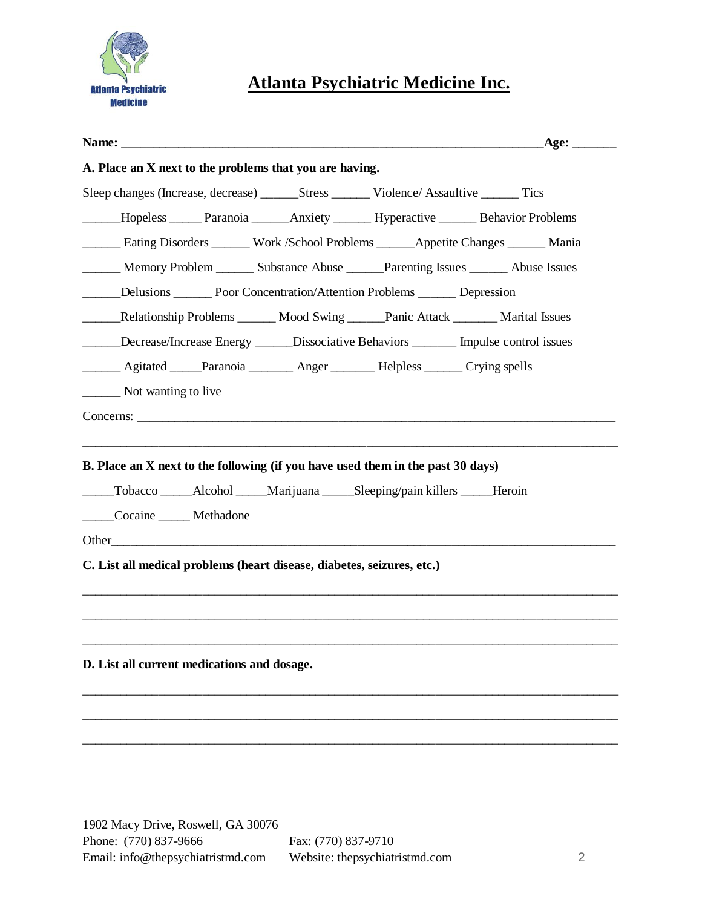

## **Atlanta Psychiatric Medicine Inc.**

|                                                                                                                                                                                                            | _Age: ________                                                                         |
|------------------------------------------------------------------------------------------------------------------------------------------------------------------------------------------------------------|----------------------------------------------------------------------------------------|
| A. Place an X next to the problems that you are having.                                                                                                                                                    |                                                                                        |
|                                                                                                                                                                                                            |                                                                                        |
|                                                                                                                                                                                                            | _Hopeless ______ Paranoia _______ Anxiety _______ Hyperactive ______ Behavior Problems |
| <b>Eating Disorders ______ Work /School Problems ______ Appetite Changes ______ Mania</b>                                                                                                                  |                                                                                        |
| Memory Problem ________ Substance Abuse _______Parenting Issues ________ Abuse Issues                                                                                                                      |                                                                                        |
| ______Delusions _________ Poor Concentration/Attention Problems _________ Depression                                                                                                                       |                                                                                        |
| Relationship Problems _______ Mood Swing ______Panic Attack ________ Marital Issues                                                                                                                        |                                                                                        |
| ______Decrease/Increase Energy ______Dissociative Behaviors ________ Impulse control issues                                                                                                                |                                                                                        |
| _______ Agitated _____Paranoia ________ Anger ________ Helpless ______ Crying spells                                                                                                                       |                                                                                        |
| __________ Not wanting to live                                                                                                                                                                             |                                                                                        |
|                                                                                                                                                                                                            |                                                                                        |
|                                                                                                                                                                                                            |                                                                                        |
| B. Place an X next to the following (if you have used them in the past 30 days)<br>______Tobacco ______Alcohol ______Marijuana ______Sleeping/pain killers ______Heroin<br>______Cocaine _______ Methadone |                                                                                        |
|                                                                                                                                                                                                            |                                                                                        |
| C. List all medical problems (heart disease, diabetes, seizures, etc.)                                                                                                                                     |                                                                                        |
|                                                                                                                                                                                                            |                                                                                        |
|                                                                                                                                                                                                            |                                                                                        |
| D. List all current medications and dosage.                                                                                                                                                                |                                                                                        |
|                                                                                                                                                                                                            |                                                                                        |
|                                                                                                                                                                                                            |                                                                                        |
|                                                                                                                                                                                                            |                                                                                        |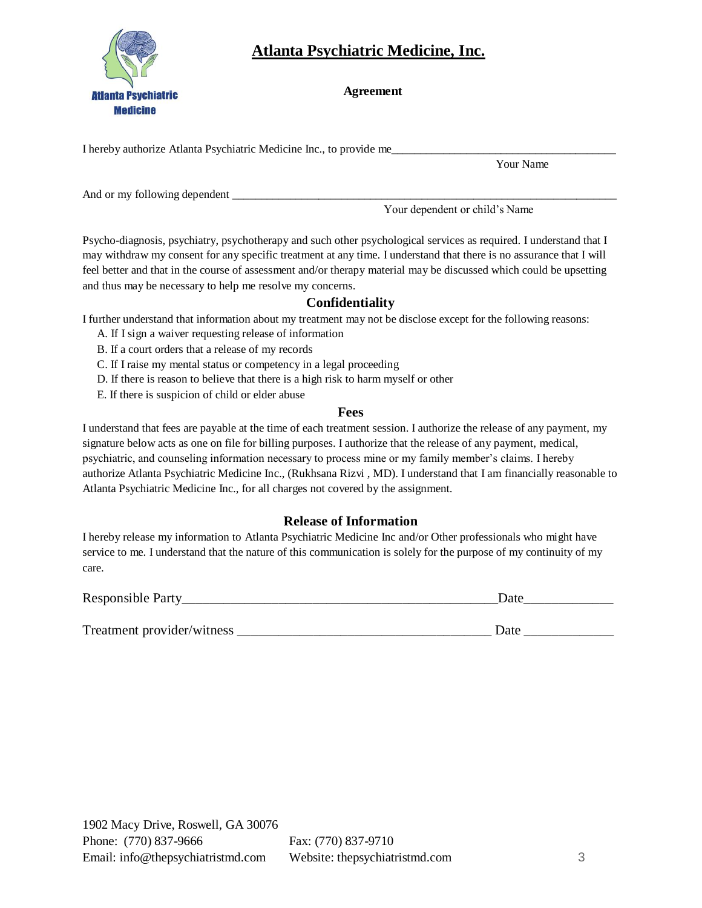

### **Atlanta Psychiatric Medicine, Inc.**

 **Agreement**

I hereby authorize Atlanta Psychiatric Medicine Inc., to provide me\_\_\_\_\_\_\_\_\_\_\_\_\_\_

Your Name

And or my following dependent

Your dependent or child's Name

Psycho-diagnosis, psychiatry, psychotherapy and such other psychological services as required. I understand that I may withdraw my consent for any specific treatment at any time. I understand that there is no assurance that I will feel better and that in the course of assessment and/or therapy material may be discussed which could be upsetting and thus may be necessary to help me resolve my concerns.

### **Confidentiality**

I further understand that information about my treatment may not be disclose except for the following reasons:

- A. If I sign a waiver requesting release of information
- B. If a court orders that a release of my records
- C. If I raise my mental status or competency in a legal proceeding
- D. If there is reason to believe that there is a high risk to harm myself or other
- E. If there is suspicion of child or elder abuse

### **Fees**

I understand that fees are payable at the time of each treatment session. I authorize the release of any payment, my signature below acts as one on file for billing purposes. I authorize that the release of any payment, medical, psychiatric, and counseling information necessary to process mine or my family member's claims. I hereby authorize Atlanta Psychiatric Medicine Inc., (Rukhsana Rizvi , MD). I understand that I am financially reasonable to Atlanta Psychiatric Medicine Inc., for all charges not covered by the assignment.

### **Release of Information**

I hereby release my information to Atlanta Psychiatric Medicine Inc and/or Other professionals who might have service to me. I understand that the nature of this communication is solely for the purpose of my continuity of my care.

| <b>Responsible Party</b><br>__ | $\sim$ + $\sim$ |
|--------------------------------|-----------------|
|                                |                 |
|                                |                 |

| $\mathbf{r}$<br>Treatment provider/witness |  |
|--------------------------------------------|--|
|--------------------------------------------|--|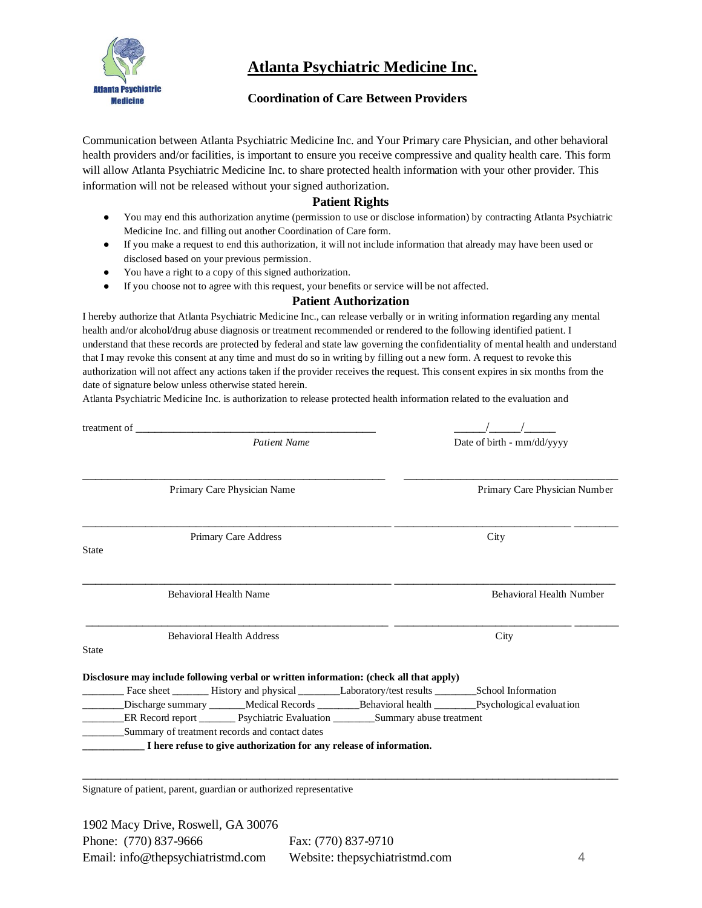

### **Atlanta Psychiatric Medicine Inc.**

#### **Coordination of Care Between Providers**

Communication between Atlanta Psychiatric Medicine Inc. and Your Primary care Physician, and other behavioral health providers and/or facilities, is important to ensure you receive compressive and quality health care. This form will allow Atlanta Psychiatric Medicine Inc. to share protected health information with your other provider. This information will not be released without your signed authorization.

#### **Patient Rights**

- You may end this authorization anytime (permission to use or disclose information) by contracting Atlanta Psychiatric Medicine Inc. and filling out another Coordination of Care form.
- If you make a request to end this authorization, it will not include information that already may have been used or disclosed based on your previous permission.
- You have a right to a copy of this signed authorization.
- If you choose not to agree with this request, your benefits or service will be not affected.

#### **Patient Authorization**

I hereby authorize that Atlanta Psychiatric Medicine Inc., can release verbally or in writing information regarding any mental health and/or alcohol/drug abuse diagnosis or treatment recommended or rendered to the following identified patient. I understand that these records are protected by federal and state law governing the confidentiality of mental health and understand that I may revoke this consent at any time and must do so in writing by filling out a new form. A request to revoke this authorization will not affect any actions taken if the provider receives the request. This consent expires in six months from the date of signature below unless otherwise stated herein.

Atlanta Psychiatric Medicine Inc. is authorization to release protected health information related to the evaluation and

| treatment of the state of the state of the state of the state of the state of the state of the state of the state of the state of the state of the state of the state of the state of the state of the state of the state of t |                               |
|--------------------------------------------------------------------------------------------------------------------------------------------------------------------------------------------------------------------------------|-------------------------------|
| <b>Patient Name</b>                                                                                                                                                                                                            | Date of birth - mm/dd/yyyy    |
|                                                                                                                                                                                                                                |                               |
| Primary Care Physician Name                                                                                                                                                                                                    | Primary Care Physician Number |
| Primary Care Address<br><b>State</b>                                                                                                                                                                                           | City                          |
|                                                                                                                                                                                                                                |                               |
| <b>Behavioral Health Name</b>                                                                                                                                                                                                  | Behavioral Health Number      |
| <b>Behavioral Health Address</b>                                                                                                                                                                                               | City                          |
| <b>State</b>                                                                                                                                                                                                                   |                               |
| Disclosure may include following verbal or written information: (check all that apply)                                                                                                                                         |                               |
|                                                                                                                                                                                                                                |                               |
|                                                                                                                                                                                                                                |                               |
| ER Record report _______ Psychiatric Evaluation ________Summary abuse treatment                                                                                                                                                |                               |
| Summary of treatment records and contact dates                                                                                                                                                                                 |                               |
| I here refuse to give authorization for any release of information.                                                                                                                                                            |                               |
|                                                                                                                                                                                                                                |                               |
|                                                                                                                                                                                                                                |                               |

Signature of patient, parent, guardian or authorized representative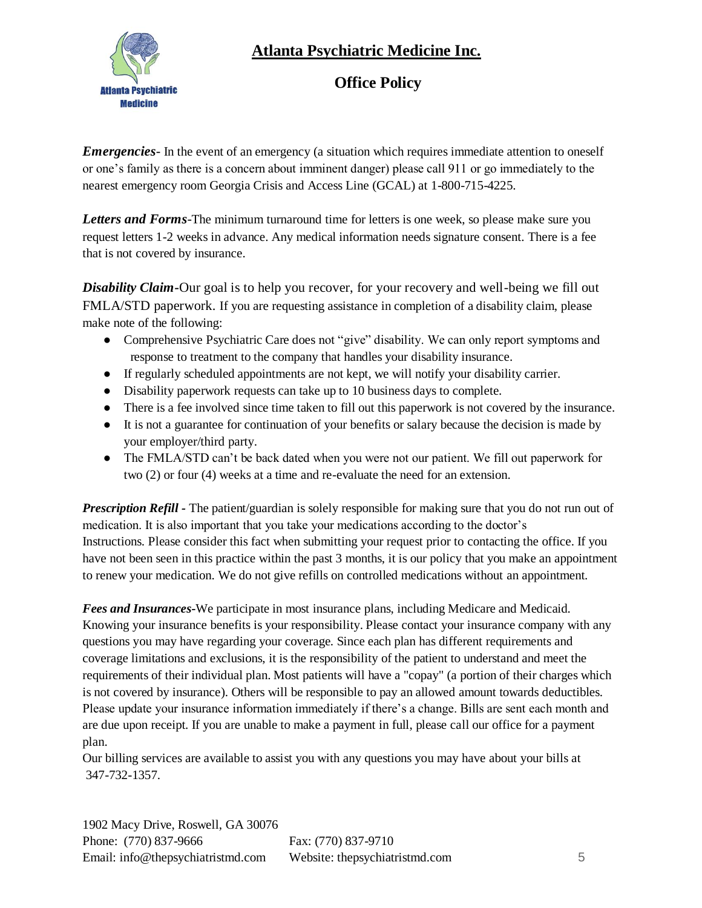## **Atlanta Psychiatric Medicine Inc.**



### **Office Policy**

*Emergencies*- In the event of an emergency (a situation which requires immediate attention to oneself or one's family as there is a concern about imminent danger) please call 911 or go immediately to the nearest emergency room Georgia Crisis and Access Line (GCAL) at 1-800-715-4225.

**Letters and Forms**-The minimum turnaround time for letters is one week, so please make sure you request letters 1-2 weeks in advance. Any medical information needs signature consent. There is a fee that is not covered by insurance.

*Disability Claim-*Our goal is to help you recover, for your recovery and well-being we fill out FMLA/STD paperwork. If you are requesting assistance in completion of a disability claim, please make note of the following:

- Comprehensive Psychiatric Care does not "give" disability. We can only report symptoms and response to treatment to the company that handles your disability insurance.
- If regularly scheduled appointments are not kept, we will notify your disability carrier.
- Disability paperwork requests can take up to 10 business days to complete.
- There is a fee involved since time taken to fill out this paperwork is not covered by the insurance.
- It is not a guarantee for continuation of your benefits or salary because the decision is made by your employer/third party.
- The FMLA/STD can't be back dated when you were not our patient. We fill out paperwork for two (2) or four (4) weeks at a time and re-evaluate the need for an extension.

*Prescription Refill* - The patient/guardian is solely responsible for making sure that you do not run out of medication. It is also important that you take your medications according to the doctor's Instructions. Please consider this fact when submitting your request prior to contacting the office. If you have not been seen in this practice within the past 3 months, it is our policy that you make an appointment to renew your medication. We do not give refills on controlled medications without an appointment.

*Fees and Insurances-*We participate in most insurance plans, including Medicare and Medicaid. Knowing your insurance benefits is your responsibility. Please contact your insurance company with any questions you may have regarding your coverage. Since each plan has different requirements and coverage limitations and exclusions, it is the responsibility of the patient to understand and meet the requirements of their individual plan. Most patients will have a "copay" (a portion of their charges which is not covered by insurance). Others will be responsible to pay an allowed amount towards deductibles. Please update your insurance information immediately if there's a change. Bills are sent each month and are due upon receipt. If you are unable to make a payment in full, please call our office for a payment plan.

Our billing services are available to assist you with any questions you may have about your bills at 347-732-1357.